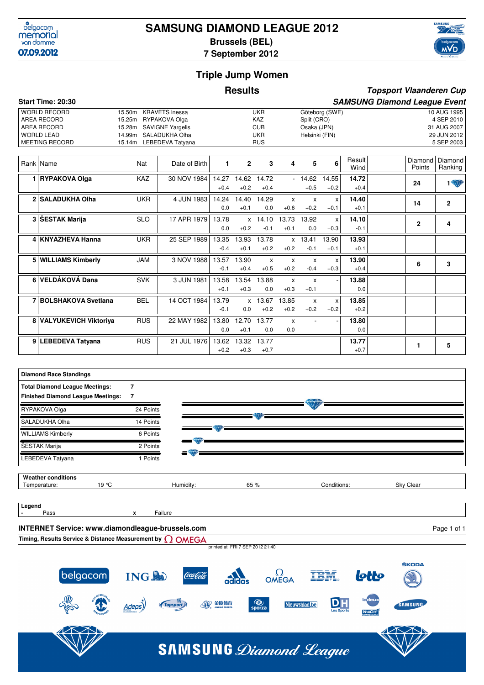

# **SAMSUNG DIAMOND LEAGUE 2012 Brussels (BEL)**



**Topsport Vlaanderen Cup**

**7 September 2012**

## **Triple Jump Women**

#### **Results**

#### **Start Time: 20:30 SAMSUNG Diamond League Event** WORLD RECORD 15.50m KRAVETS Inessa UKR Göteborg (SWE) 10 AUG 1995<br>AREA RECORD 15.25m RYPAKOVA Olga KAZ Split (CRO) 4 SEP 2010 15.25m RYPAKOVA Olga KAZ Split (CRO) AREA RECORD 15.28m SAVIGNE Yargelis CUB CUB Osaka (JPN) 31 AUG 2007 WORLD LEAD 14.99m SALADUKHA Olha UKR Helsinki (FIN) 29 JUN 2012 15.14m LEBEDEVA Tatyana RUS Rank Name  $\begin{array}{|c|c|c|c|c|c|}\n\hline\n\text{Rank} & \text{Name} & \text{Nat} & \text{Date of Birth} & \text{1} & \text{2} & \text{3} & \text{4} & \text{5} & \text{6} & \text{Next} \\
\hline\n\end{array}$ **Wind** Diamond **Points** Diamond<br>Ranking 1 2 3 4 5 6 Wind Points Ranking **1 RYPAKOVA Olga** KAZ 30 NOV 1984 **14.72**  $+0.4$ 14.27 14.62 14.72 - 14.62 14.55 **14.72** 24 1 +0.4 14.62  $+0.2$ 14.72  $+0.4$ 14.62  $+0.5$ 14.55 +0.2 **2 SALADUKHA Olha** UKR 4 JUN 1983 14.24 14.40 14.29 x x x 14.40  $+0.1$ 14.24 14.40 14.29 x x x **14.40** 14 **14** 2 0.0 14.40  $+0.1$ 14.29 0.0 x +0.6 x  $+0.2$ x  $+0.1$ **3 ŠESTAK Marija SLO** 17 APR 1979 13.78 x 14.10 13.73 13.92 x 14.10 -0.1 13.78 x 14.10 13.73 13.92 x **14.10** 2 4 0.0 x +0.2 14.10 -0.1 13.73  $+0.1$ 13.92 0.0 x +0.3 **4 KNYAZHEVA Hanna** UKR 25 SEP 1989 **13.93**  $+0.1$ 13.35 -0.4 13.93 +0.1 13.78 +0.2 x +0.2 13.41 -0.1 13.90 +0.1 **5 WILLIAMS Kimberly** JAM 3 NOV 1988 **13.90** +0.4 13.57 13.90 x x x x **13.90** 6 3 -0.1 13.90  $+0.4$ x  $+0.5$ x  $+0.2$ x -0.4 x +0.3 **6 VELDÁKOVÁ Dana** SVK 3 JUN 1981 13.58 13.54 13.88 x x - 13.88  $0.0$ 13.58  $+0.1$ 13.54  $+0.3$ 13.88  $0.0$ x  $+0.3$ x  $+0.1$ - **7 BOLSHAKOVA Svetlana** BEL 14 OCT 1984 **13.85**  $+0.2$ 13.79 -0.1 x 0.0 13.67  $+0.2$ 13.85  $+0.2$ x +0.2 x +0.2 **8 VALYUKEVICH Viktoriya** RUS 22 MAY 1982 **13.80** 0.0 13.80 0.0 12.70  $+0.1$ 13.77 0.0 x 0.0 - - **9 LEBEDEVA Tatyana** RUS 21 JUL 1976 13.62 13.32 13.77 13.77 +0.7 **13.62 13.32 13.77 13.77 13.77 13.77 1 1 1 1 5**  $+0.2$ 13.32 +0.3 13.77 +0.7

| <b>Diamond Race Standings</b>                    |                         |           |      |             |             |
|--------------------------------------------------|-------------------------|-----------|------|-------------|-------------|
| <b>Total Diamond League Meetings:</b>            | 7                       |           |      |             |             |
| <b>Finished Diamond League Meetings:</b>         | 7                       |           |      |             |             |
| RYPAKOVA Olga                                    | 24 Points               |           |      |             |             |
| SALADUKHA Olha                                   | 14 Points               |           |      |             |             |
| <b>WILLIAMS Kimberly</b>                         | 6 Points                |           |      |             |             |
| ŠESTAK Marija                                    | 2 Points                |           |      |             |             |
| LEBEDEVA Tatyana                                 | 1 Points                | $=$       |      |             |             |
| <b>Weather conditions</b>                        |                         |           |      |             |             |
| 19 °C<br>Temperature:                            |                         | Humidity: | 65 % | Conditions: | Sky Clear   |
| Legend                                           |                         |           |      |             |             |
| Pass                                             | Failure<br>$\mathbf{x}$ |           |      |             |             |
| INTERNET Service: www.diamondleague-brussels.com |                         |           |      |             | Page 1 of 1 |

**Timing, Results Service & Distance Measurement by** printed at FRI 7 SEP 2012 21:40

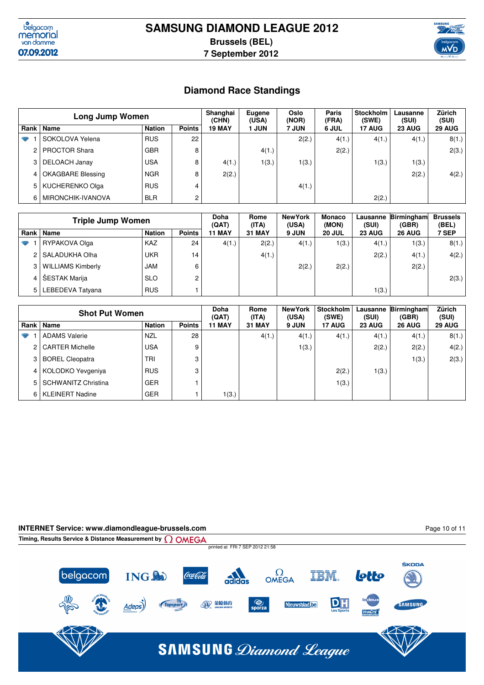



# **Diamond Race Standings**

|   | <b>Long Jump Women</b> | Shanghai<br>(CHN) | Eugene<br>(USA) | Oslo<br>(NOR) | Paris<br>(FRA) | <b>Stockholm</b><br>(SWE) | Lausanne<br>(SUI) | Zürich<br>(SUI) |        |               |
|---|------------------------|-------------------|-----------------|---------------|----------------|---------------------------|-------------------|-----------------|--------|---------------|
|   | Rank   Name            | <b>Nation</b>     | <b>Points</b>   | <b>19 MAY</b> | I JUN          | 7 JUN                     | 6 JUL             | <b>17 AUG</b>   | 23 AUG | <b>29 AUG</b> |
| ₩ | SOKOLOVA Yelena        | <b>RUS</b>        | 22              |               |                | 2(2.)                     | 4(1.)             | 4(1.)           | 4(1.)  | 8(1.)         |
|   | <b>PROCTOR Shara</b>   | <b>GBR</b>        | 8               |               | 4(1.)          |                           | 2(2.)             |                 |        | 2(3.)         |
|   | 3   DELOACH Janay      | <b>USA</b>        | 8               | 4(1.)         | 1(3.)          | 1(3.)                     |                   | 1(3.)           | 1(3.)  |               |
|   | 4   OKAGBARE Blessing  | <b>NGR</b>        | 8               | 2(2.)         |                |                           |                   |                 | 2(2.)  | 4(2.)         |
|   | 5   KUCHERENKO Olga    | <b>RUS</b>        | 4               |               |                | 4(1.)                     |                   |                 |        |               |
|   | MIRONCHIK-IVANOVA      | <b>BLR</b>        | $\overline{c}$  |               |                |                           |                   | 2(2.)           |        |               |

|   | <b>Triple Jump Women</b> | Doha<br>(QAT) | Rome<br>(ITA) | <b>New York</b><br>(USA) | <b>Monaco</b><br>(MON) | Lausanne<br>(SUI) | Birmingham<br>(GBR) | <b>Brussels</b><br>(BEL) |               |       |
|---|--------------------------|---------------|---------------|--------------------------|------------------------|-------------------|---------------------|--------------------------|---------------|-------|
|   | Rank   Name              | <b>Nation</b> | <b>Points</b> | <b>11 MAY</b>            | <b>31 MAY</b>          | 9 JUN             | <b>20 JUL</b>       | <b>23 AUG</b>            | <b>26 AUG</b> | 7 SEP |
| v | RYPAKOVA Olga            | KAZ           | 24            | 4(1.)                    | 2(2.)                  | 4(1.)             | 1(3.)               | 4(1.)                    | 1(3.)         | 8(1.) |
|   | 2 SALADUKHA Olha         | <b>UKR</b>    | 14            |                          | 4(1.)                  |                   |                     | 2(2.)                    | 4(1.)         | 4(2.) |
|   | 3   WILLIAMS Kimberly    | <b>JAM</b>    | 6             |                          |                        | 2(2.)             | 2(2.)               |                          | 2(2.)         |       |
|   | 4   ŠESTAK Marija        | <b>SLO</b>    | 2             |                          |                        |                   |                     |                          |               | 2(3.) |
|   | 5   LEBEDEVA Tatyana     | <b>RUS</b>    |               |                          |                        |                   |                     | 1(3.)                    |               |       |

|     | <b>Shot Put Women</b> | Doha<br>(QAT) | Rome<br>(ITA) | <b>New York</b><br>(USA) | Stockholm<br>(SWE) | Lausanne<br>(SUI) | <b>Birmingham</b><br>(GBR) | Zürich<br>(SUI) |               |        |
|-----|-----------------------|---------------|---------------|--------------------------|--------------------|-------------------|----------------------------|-----------------|---------------|--------|
|     | Rank   Name           | <b>Nation</b> | <b>Points</b> | <b>11 MAY</b>            | <b>31 MAY</b>      | 9 JUN             | <b>17 AUG</b>              | <b>23 AUG</b>   | <b>26 AUG</b> | 29 AUG |
| ₩   | <b>ADAMS Valerie</b>  | <b>NZL</b>    | 28            |                          | 4(1.)              | 4(1.)             | 4(1.)                      | 4(1.)           | 4(1.)         | 8(1.)  |
|     | 2   CARTER Michelle   | <b>USA</b>    | 9             |                          |                    | 1(3.)             |                            | 2(2.)           | 2(2.)         | 4(2.)  |
|     | BOREL Cleopatra       | TRI           | 3             |                          |                    |                   |                            |                 | 1(3.)         | 2(3.)  |
|     | 4   KOLODKO Yevgeniya | <b>RUS</b>    | 3             |                          |                    |                   | 2(2.)                      | 1(3.)           |               |        |
|     | 5 SCHWANITZ Christina | <b>GER</b>    |               |                          |                    |                   | 1(3.)                      |                 |               |        |
| 6 l | KLEINERT Nadine       | <b>GER</b>    |               | 1(3.)                    |                    |                   |                            |                 |               |        |